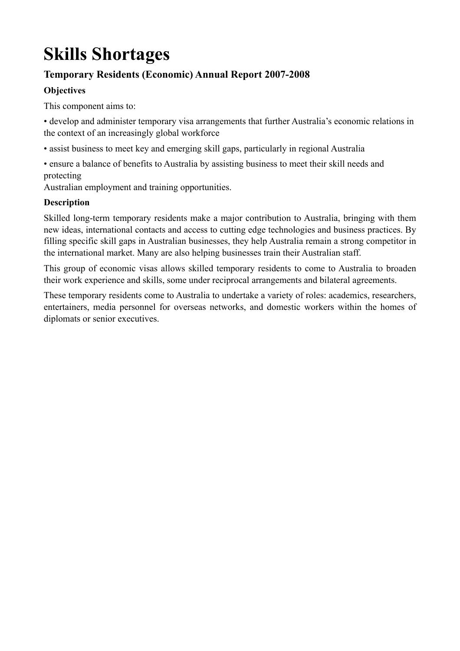# **Skills Shortages**

# **Temporary Residents (Economic) Annual Report 2007-2008**

## **Objectives**

This component aims to:

• develop and administer temporary visa arrangements that further Australia's economic relations in the context of an increasingly global workforce

• assist business to meet key and emerging skill gaps, particularly in regional Australia

• ensure a balance of benefits to Australia by assisting business to meet their skill needs and protecting

Australian employment and training opportunities.

## **Description**

Skilled long-term temporary residents make a major contribution to Australia, bringing with them new ideas, international contacts and access to cutting edge technologies and business practices. By filling specific skill gaps in Australian businesses, they help Australia remain a strong competitor in the international market. Many are also helping businesses train their Australian staff.

This group of economic visas allows skilled temporary residents to come to Australia to broaden their work experience and skills, some under reciprocal arrangements and bilateral agreements.

These temporary residents come to Australia to undertake a variety of roles: academics, researchers, entertainers, media personnel for overseas networks, and domestic workers within the homes of diplomats or senior executives.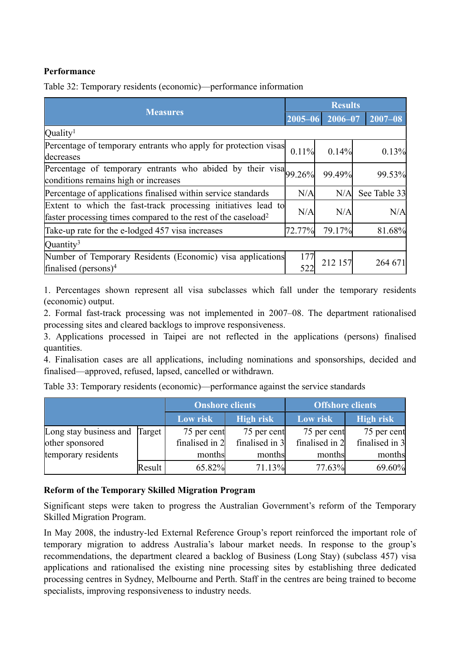## **Performance**

Table 32: Temporary residents (economic)—performance information

| <b>Measures</b>                                                                                                                            |            | <b>Results</b>         |              |  |  |
|--------------------------------------------------------------------------------------------------------------------------------------------|------------|------------------------|--------------|--|--|
|                                                                                                                                            |            | 2006-07<br>$2005 - 06$ | $2007 - 08$  |  |  |
| Quality <sup>1</sup>                                                                                                                       |            |                        |              |  |  |
| Percentage of temporary entrants who apply for protection visas<br>decreases                                                               | 0.11%      | 0.14%                  | 0.13%        |  |  |
| Percentage of temporary entrants who abided by their visa 99.26%<br>conditions remains high or increases                                   |            | 99.49%                 | 99.53%       |  |  |
| Percentage of applications finalised within service standards                                                                              | N/A        | N/A                    | See Table 33 |  |  |
| Extent to which the fast-track processing initiatives lead to<br>faster processing times compared to the rest of the caseload <sup>2</sup> | N/A        | N/A                    | N/A          |  |  |
| Take-up rate for the e-lodged 457 visa increases                                                                                           | 72.77%     | 79.17%                 | 81.68%       |  |  |
| Quantity <sup>3</sup>                                                                                                                      |            |                        |              |  |  |
| Number of Temporary Residents (Economic) visa applications<br>finalised (persons) $4$                                                      | 177<br>522 | 212 157                | 264 671      |  |  |

1. Percentages shown represent all visa subclasses which fall under the temporary residents (economic) output.

2. Formal fast-track processing was not implemented in 2007–08. The department rationalised processing sites and cleared backlogs to improve responsiveness.

3. Applications processed in Taipei are not reflected in the applications (persons) finalised quantities.

4. Finalisation cases are all applications, including nominations and sponsorships, decided and finalised—approved, refused, lapsed, cancelled or withdrawn.

|                        |        | <b>Onshore clients</b> |                |                | <b>Offshore clients</b> |  |
|------------------------|--------|------------------------|----------------|----------------|-------------------------|--|
|                        |        | Low risk               | High risk      | Low risk       | <b>High risk</b>        |  |
| Long stay business and | Target | 75 per cent            | 75 per cent    | 75 per cent    | 75 per cent             |  |
| other sponsored        |        | finalised in 2         | finalised in 3 | finalised in 2 | finalised in 3          |  |
| temporary residents    |        | months                 | months         | months         | months                  |  |
|                        | Result | 65.82%                 | 71.13%         | 77.63%         | 69.60%                  |  |

Table 33: Temporary residents (economic)—performance against the service standards

#### **Reform of the Temporary Skilled Migration Program**

Significant steps were taken to progress the Australian Government's reform of the Temporary Skilled Migration Program.

In May 2008, the industry-led External Reference Group's report reinforced the important role of temporary migration to address Australia's labour market needs. In response to the group's recommendations, the department cleared a backlog of Business (Long Stay) (subclass 457) visa applications and rationalised the existing nine processing sites by establishing three dedicated processing centres in Sydney, Melbourne and Perth. Staff in the centres are being trained to become specialists, improving responsiveness to industry needs.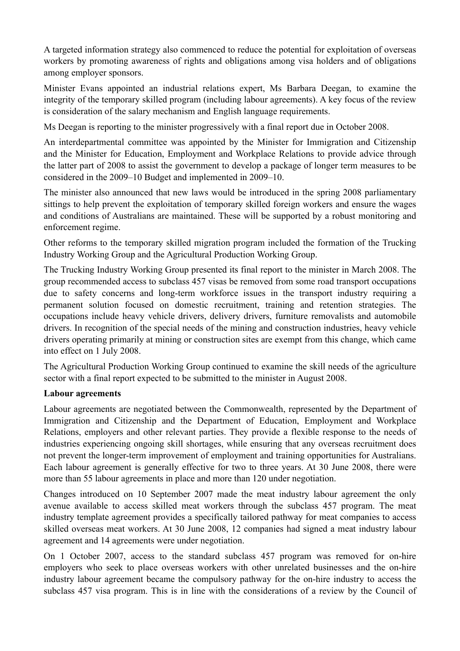A targeted information strategy also commenced to reduce the potential for exploitation of overseas workers by promoting awareness of rights and obligations among visa holders and of obligations among employer sponsors.

Minister Evans appointed an industrial relations expert, Ms Barbara Deegan, to examine the integrity of the temporary skilled program (including labour agreements). A key focus of the review is consideration of the salary mechanism and English language requirements.

Ms Deegan is reporting to the minister progressively with a final report due in October 2008.

An interdepartmental committee was appointed by the Minister for Immigration and Citizenship and the Minister for Education, Employment and Workplace Relations to provide advice through the latter part of 2008 to assist the government to develop a package of longer term measures to be considered in the 2009–10 Budget and implemented in 2009–10.

The minister also announced that new laws would be introduced in the spring 2008 parliamentary sittings to help prevent the exploitation of temporary skilled foreign workers and ensure the wages and conditions of Australians are maintained. These will be supported by a robust monitoring and enforcement regime.

Other reforms to the temporary skilled migration program included the formation of the Trucking Industry Working Group and the Agricultural Production Working Group.

The Trucking Industry Working Group presented its final report to the minister in March 2008. The group recommended access to subclass 457 visas be removed from some road transport occupations due to safety concerns and long-term workforce issues in the transport industry requiring a permanent solution focused on domestic recruitment, training and retention strategies. The occupations include heavy vehicle drivers, delivery drivers, furniture removalists and automobile drivers. In recognition of the special needs of the mining and construction industries, heavy vehicle drivers operating primarily at mining or construction sites are exempt from this change, which came into effect on 1 July 2008.

The Agricultural Production Working Group continued to examine the skill needs of the agriculture sector with a final report expected to be submitted to the minister in August 2008.

#### **Labour agreements**

Labour agreements are negotiated between the Commonwealth, represented by the Department of Immigration and Citizenship and the Department of Education, Employment and Workplace Relations, employers and other relevant parties. They provide a flexible response to the needs of industries experiencing ongoing skill shortages, while ensuring that any overseas recruitment does not prevent the longer-term improvement of employment and training opportunities for Australians. Each labour agreement is generally effective for two to three years. At 30 June 2008, there were more than 55 labour agreements in place and more than 120 under negotiation.

Changes introduced on 10 September 2007 made the meat industry labour agreement the only avenue available to access skilled meat workers through the subclass 457 program. The meat industry template agreement provides a specifically tailored pathway for meat companies to access skilled overseas meat workers. At 30 June 2008, 12 companies had signed a meat industry labour agreement and 14 agreements were under negotiation.

On 1 October 2007, access to the standard subclass 457 program was removed for on-hire employers who seek to place overseas workers with other unrelated businesses and the on-hire industry labour agreement became the compulsory pathway for the on-hire industry to access the subclass 457 visa program. This is in line with the considerations of a review by the Council of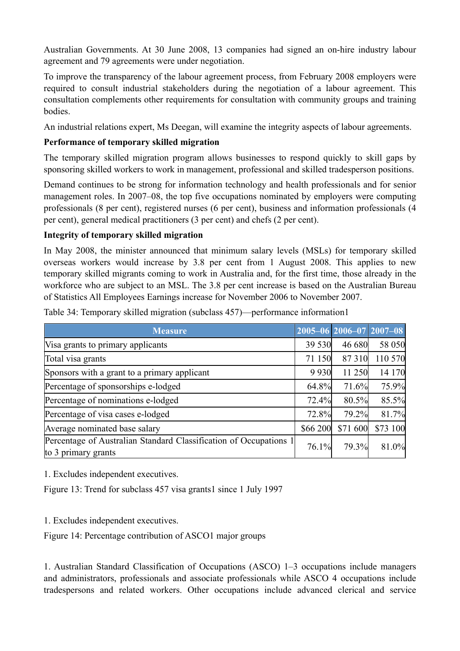Australian Governments. At 30 June 2008, 13 companies had signed an on-hire industry labour agreement and 79 agreements were under negotiation.

To improve the transparency of the labour agreement process, from February 2008 employers were required to consult industrial stakeholders during the negotiation of a labour agreement. This consultation complements other requirements for consultation with community groups and training bodies.

An industrial relations expert, Ms Deegan, will examine the integrity aspects of labour agreements.

## **Performance of temporary skilled migration**

The temporary skilled migration program allows businesses to respond quickly to skill gaps by sponsoring skilled workers to work in management, professional and skilled tradesperson positions.

Demand continues to be strong for information technology and health professionals and for senior management roles. In 2007–08, the top five occupations nominated by employers were computing professionals (8 per cent), registered nurses (6 per cent), business and information professionals (4 per cent), general medical practitioners (3 per cent) and chefs (2 per cent).

#### **Integrity of temporary skilled migration**

In May 2008, the minister announced that minimum salary levels (MSLs) for temporary skilled overseas workers would increase by 3.8 per cent from 1 August 2008. This applies to new temporary skilled migrants coming to work in Australia and, for the first time, those already in the workforce who are subject to an MSL. The 3.8 per cent increase is based on the Australian Bureau of Statistics All Employees Earnings increase for November 2006 to November 2007.

| <b>Measure</b>                                                                           |          | 2005-06 2006-07 2007-08 |          |
|------------------------------------------------------------------------------------------|----------|-------------------------|----------|
| Visa grants to primary applicants                                                        | 39 530   | 46 680                  | 58 050   |
| Total visa grants                                                                        | 71 150   | 87310                   | 110 570  |
| Sponsors with a grant to a primary applicant                                             | 9 9 3 0  | 11 250                  | 14 170   |
| Percentage of sponsorships e-lodged                                                      | 64.8%    | 71.6%                   | 75.9%    |
| Percentage of nominations e-lodged                                                       | 72.4%    | 80.5%                   | 85.5%    |
| Percentage of visa cases e-lodged                                                        | 72.8%    | 79.2%                   | 81.7%    |
| Average nominated base salary                                                            | \$66 200 | \$71 600                | \$73 100 |
| Percentage of Australian Standard Classification of Occupations 1<br>to 3 primary grants | 76.1%    | 79.3%                   | 81.0%    |

Table 34: Temporary skilled migration (subclass 457)—performance information1

1. Excludes independent executives.

Figure 13: Trend for subclass 457 visa grants1 since 1 July 1997

1. Excludes independent executives.

Figure 14: Percentage contribution of ASCO1 major groups

1. Australian Standard Classification of Occupations (ASCO) 1–3 occupations include managers and administrators, professionals and associate professionals while ASCO 4 occupations include tradespersons and related workers. Other occupations include advanced clerical and service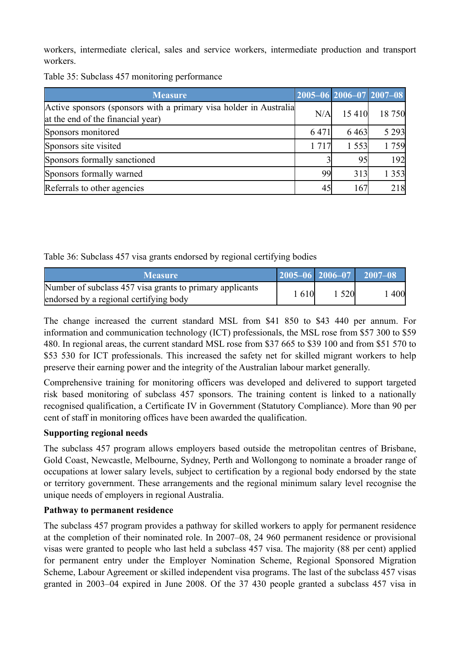workers, intermediate clerical, sales and service workers, intermediate production and transport workers.

|  |  |  |  | Table 35: Subclass 457 monitoring performance |
|--|--|--|--|-----------------------------------------------|
|--|--|--|--|-----------------------------------------------|

| <b>Measure</b>                                                                                         |         |         | 2005-06 2006-07 2007-08 |
|--------------------------------------------------------------------------------------------------------|---------|---------|-------------------------|
| Active sponsors (sponsors with a primary visa holder in Australia<br>at the end of the financial year) | N/A     | 15 4 10 | 18 750                  |
| Sponsors monitored                                                                                     | 6471    | 6463    | 5 2 9 3                 |
| Sponsors site visited                                                                                  | 1 7 1 7 | 1 5 5 3 | 1 759                   |
| Sponsors formally sanctioned                                                                           |         | 95      | 192                     |
| Sponsors formally warned                                                                               | 99      | 313     | 1 3 5 3                 |
| Referrals to other agencies                                                                            | 45      | 167     | 218                     |

Table 36: Subclass 457 visa grants endorsed by regional certifying bodies

| <b>Measure</b>                                                                                     |      |         | $\mid$ 2005-06 2006-07 2007-08 |
|----------------------------------------------------------------------------------------------------|------|---------|--------------------------------|
| Number of subclass 457 visa grants to primary applicants<br>endorsed by a regional certifying body | 1610 | 1 5 2 0 | 400                            |

The change increased the current standard MSL from \$41 850 to \$43 440 per annum. For information and communication technology (ICT) professionals, the MSL rose from \$57 300 to \$59 480. In regional areas, the current standard MSL rose from \$37 665 to \$39 100 and from \$51 570 to \$53 530 for ICT professionals. This increased the safety net for skilled migrant workers to help preserve their earning power and the integrity of the Australian labour market generally.

Comprehensive training for monitoring officers was developed and delivered to support targeted risk based monitoring of subclass 457 sponsors. The training content is linked to a nationally recognised qualification, a Certificate IV in Government (Statutory Compliance). More than 90 per cent of staff in monitoring offices have been awarded the qualification.

#### **Supporting regional needs**

The subclass 457 program allows employers based outside the metropolitan centres of Brisbane, Gold Coast, Newcastle, Melbourne, Sydney, Perth and Wollongong to nominate a broader range of occupations at lower salary levels, subject to certification by a regional body endorsed by the state or territory government. These arrangements and the regional minimum salary level recognise the unique needs of employers in regional Australia.

#### **Pathway to permanent residence**

The subclass 457 program provides a pathway for skilled workers to apply for permanent residence at the completion of their nominated role. In 2007–08, 24 960 permanent residence or provisional visas were granted to people who last held a subclass 457 visa. The majority (88 per cent) applied for permanent entry under the Employer Nomination Scheme, Regional Sponsored Migration Scheme, Labour Agreement or skilled independent visa programs. The last of the subclass 457 visas granted in 2003–04 expired in June 2008. Of the 37 430 people granted a subclass 457 visa in